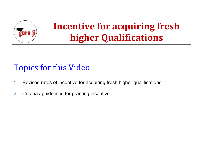

# **Incentive for acquiring fresh higher Qualifications**

## Topics for this Video

- 1. Revised rates of incentive for acquiring fresh higher qualifications
- 2. Criteria / guidelines for granting incentive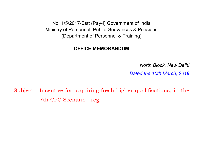No. 1/5/2017-Estt (Pay-I) Government of India Ministry of Personnel, Public Grievances & Pensions (Department of Personnel & Training)

#### **OFFICE MEMORANDUM**

*North Block, New Delhi*

*Dated the 15th March, 2019*

Subject: Incentive for acquiring fresh higher qualifications, in the 7th CPC Scenario - reg.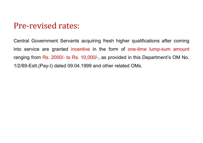#### Pre-revised rates:

Central Government Servants acquiring fresh higher qualifications after coming into service are granted incentive in the form of one-time lump-sum amount ranging from Rs. 2000/- to Rs. 10,000/-, as provided in this Department's OM No. 1/2/89-Estt.(Pay-I) dated 09.04.1999 and other related OMs.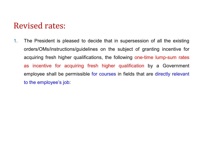#### Revised rates:

1. The President is pleased to decide that in supersession of all the existing orders/OMs/instructions/guidelines on the subject of granting incentive for acquiring fresh higher qualifications, the following one-time lump-sum rates as incentive for acquiring fresh higher qualification by a Government employee shall be permissible for courses in fields that are directly relevant to the employee's job: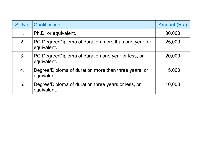|    | SI. No. Qualification                                               | <b>Amount (Rs.)</b> |
|----|---------------------------------------------------------------------|---------------------|
| 1. | Ph.D. or equivalent.                                                | 30,000              |
| 2. | PG Degree/Diploma of duration more than one year, or<br>equivalent. | 25,000              |
| 3. | PG Degree/Diploma of duration one year or less, or<br>equivalent.   | 20,000              |
| 4. | Degree/Diploma of duration more than three years, or<br>equivalent. | 15,000              |
| 5. | Degree/Diploma of duration three years or less, or<br>equivalent.   | 10,000              |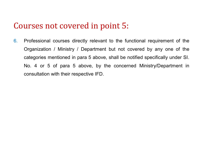#### Courses not covered in point 5:

6. Professional courses directly relevant to the functional requirement of the Organization / Ministry / Department but not covered by any one of the categories mentioned in para 5 above, shall be notified specifically under SI. No. 4 or 5 of para 5 above, by the concerned Ministry/Department in consultation with their respective IFD.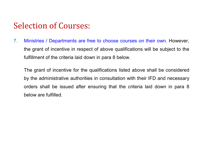### Selection of Courses:

7. Ministries / Departments are free to choose courses on their own. However, the grant of incentive in respect of above qualifications will be subject to the fulfillment of the criteria laid down in para 8 below.

The grant of incentive for the qualifications listed above shall be considered by the administrative authorities in consultation with their IFD and necessary orders shall be issued after ensuring that the criteria laid down in para 8 below are fulfilled.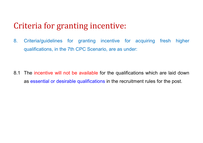#### Criteria for granting incentive:

8. Criteria/guidelines for granting incentive for acquiring fresh higher qualifications, in the 7th CPC Scenario, are as under:

8.1 The incentive will not be available for the qualifications which are laid down as essential or desirable qualifications in the recruitment rules for the post.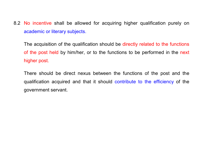8.2 No incentive shall be allowed for acquiring higher qualification purely on academic or literary subjects.

The acquisition of the qualification should be directly related to the functions of the post held by him/her, or to the functions to be performed in the next higher post.

There should be direct nexus between the functions of the post and the qualification acquired and that it should contribute to the efficiency of the government servant.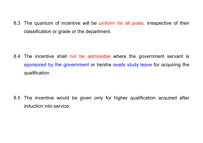8.3 The quantum of incentive will be uniform for all posts, irrespective of their classification or grade or the department.

8.4 The incentive shall not be admissible where the government servant is sponsored by the government or he/she avails study leave for acquiring the qualification.

8.5 The incentive would be given only for higher qualification acquired after induction into service.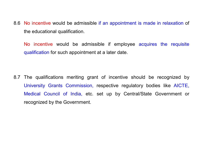8.6 No incentive would be admissible if an appointment is made in relaxation of the educational qualification.

No incentive would be admissible if employee acquires the requisite qualification for such appointment at a later date.

8.7 The qualifications meriting grant of incentive should be recognized by University Grants Commission, respective regulatory bodies like AICTE, Medical Council of India, etc. set up by Central/State Government or recognized by the Government.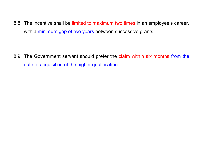8.8 The incentive shall be limited to maximum two times in an employee's career, with a minimum gap of two years between successive grants.

8.9 The Government servant should prefer the claim within six months from the date of acquisition of the higher qualification.